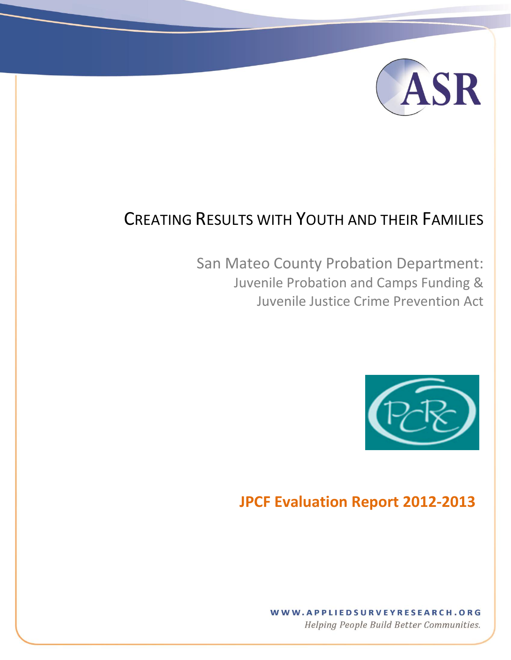

# CREATING RESULTS WITH YOUTH AND THEIR FAMILIES

[Type text] [Type text] [Type text] [Type text] [Type text] [Type text] [Type text] [Type text] [Type text] [Type text] [Type text] [Type text] [Type text] [Type text] [Type text] [Type text] [Type text] [Type text] [Type

San Mateo County Probation Department: Juvenile Probation and Camps Funding & Juvenile Justice Crime Prevention Act



## **JPCF Evaluation Report 2012-2013**

## WWW.APPLIEDSURVEYRESEARCH.ORG

Helping People Build Better Communities.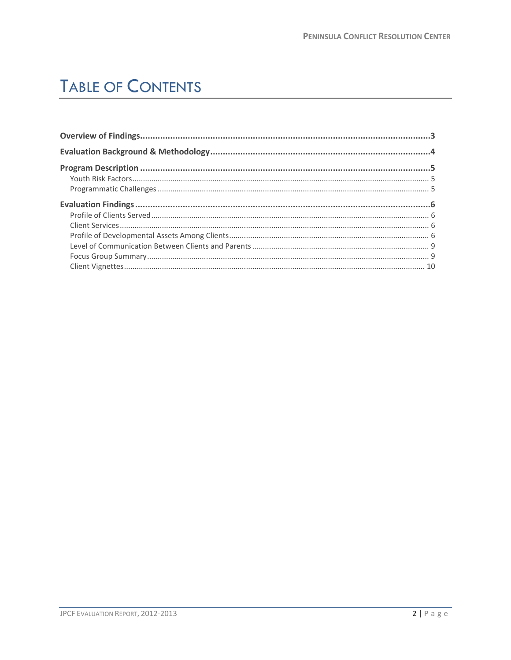# **TABLE OF CONTENTS**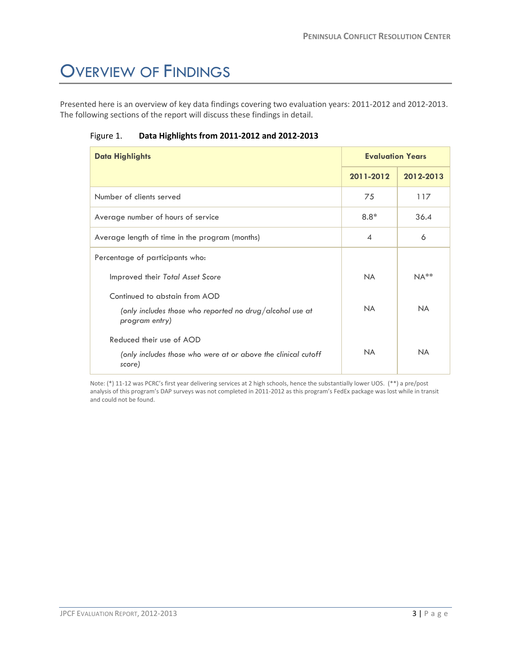# <span id="page-2-0"></span>OVERVIEW OF FINDINGS

Presented here is an overview of key data findings covering two evaluation years: 2011-2012 and 2012-2013. The following sections of the report will discuss these findings in detail.

| <b>Data Highlights</b>                                                                                      | <b>Evaluation Years</b> |           |
|-------------------------------------------------------------------------------------------------------------|-------------------------|-----------|
|                                                                                                             | 2011-2012               | 2012-2013 |
| Number of clients served                                                                                    | 75                      | 117       |
| Average number of hours of service                                                                          | $8.8*$                  | 36.4      |
| Average length of time in the program (months)                                                              | $\overline{4}$          | 6         |
| Percentage of participants who:                                                                             |                         |           |
| Improved their Total Asset Score                                                                            | <b>NA</b>               | $NA**$    |
| Continued to abstain from AOD<br>(only includes those who reported no drug/alcohol use at<br>program entry) | <b>NA</b>               | <b>NA</b> |
| Reduced their use of AOD<br>(only includes those who were at or above the clinical cutoff<br>score)         | <b>NA</b>               | <b>NA</b> |

Figure 1. **Data Highlights from 2011-2012 and 2012-2013**

Note: (\*) 11-12 was PCRC's first year delivering services at 2 high schools, hence the substantially lower UOS. (\*\*) a pre/post analysis of this program's DAP surveys was not completed in 2011-2012 as this program's FedEx package was lost while in transit and could not be found.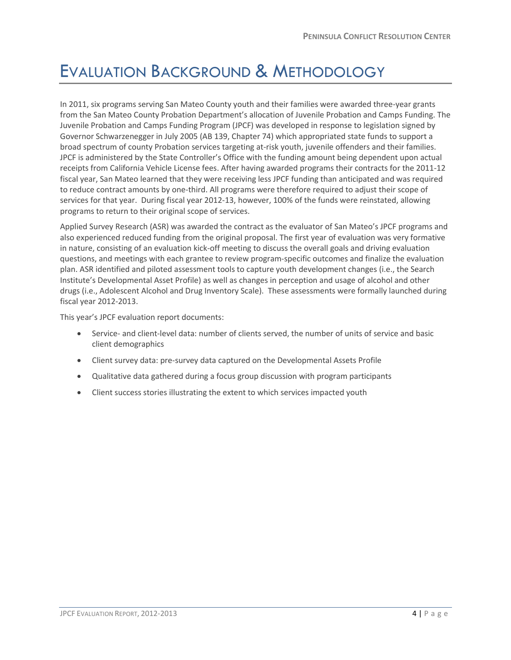## <span id="page-3-0"></span>EVALUATION BACKGROUND & METHODOLOGY

In 2011, six programs serving San Mateo County youth and their families were awarded three-year grants from the San Mateo County Probation Department's allocation of Juvenile Probation and Camps Funding. The Juvenile Probation and Camps Funding Program (JPCF) was developed in response to legislation signed by Governor Schwarzenegger in July 2005 (AB 139, Chapter 74) which appropriated state funds to support a broad spectrum of county Probation services targeting at-risk youth, juvenile offenders and their families. JPCF is administered by the State Controller's Office with the funding amount being dependent upon actual receipts from California Vehicle License fees. After having awarded programs their contracts for the 2011-12 fiscal year, San Mateo learned that they were receiving less JPCF funding than anticipated and was required to reduce contract amounts by one-third. All programs were therefore required to adjust their scope of services for that year. During fiscal year 2012-13, however, 100% of the funds were reinstated, allowing programs to return to their original scope of services.

Applied Survey Research (ASR) was awarded the contract as the evaluator of San Mateo's JPCF programs and also experienced reduced funding from the original proposal. The first year of evaluation was very formative in nature, consisting of an evaluation kick-off meeting to discuss the overall goals and driving evaluation questions, and meetings with each grantee to review program-specific outcomes and finalize the evaluation plan. ASR identified and piloted assessment tools to capture youth development changes (i.e., the Search Institute's Developmental Asset Profile) as well as changes in perception and usage of alcohol and other drugs (i.e., Adolescent Alcohol and Drug Inventory Scale). These assessments were formally launched during fiscal year 2012-2013.

This year's JPCF evaluation report documents:

- Service- and client-level data: number of clients served, the number of units of service and basic client demographics
- Client survey data: pre-survey data captured on the Developmental Assets Profile
- Qualitative data gathered during a focus group discussion with program participants
- Client success stories illustrating the extent to which services impacted youth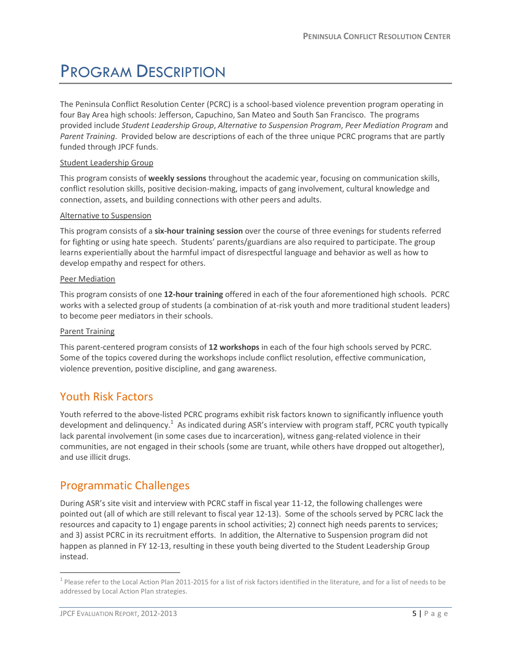# <span id="page-4-0"></span>PROGRAM DESCRIPTION

The Peninsula Conflict Resolution Center (PCRC) is a school-based violence prevention program operating in four Bay Area high schools: Jefferson, Capuchino, San Mateo and South San Francisco. The programs provided include *Student Leadership Group*, *Alternative to Suspension Program*, *Peer Mediation Program* and *Parent Training*. Provided below are descriptions of each of the three unique PCRC programs that are partly funded through JPCF funds.

#### Student Leadership Group

This program consists of **weekly sessions** throughout the academic year, focusing on communication skills, conflict resolution skills, positive decision-making, impacts of gang involvement, cultural knowledge and connection, assets, and building connections with other peers and adults.

#### Alternative to Suspension

This program consists of a **six-hour training session** over the course of three evenings for students referred for fighting or using hate speech. Students' parents/guardians are also required to participate. The group learns experientially about the harmful impact of disrespectful language and behavior as well as how to develop empathy and respect for others.

#### Peer Mediation

This program consists of one **12-hour training** offered in each of the four aforementioned high schools. PCRC works with a selected group of students (a combination of at-risk youth and more traditional student leaders) to become peer mediators in their schools.

#### Parent Training

This parent-centered program consists of **12 workshops** in each of the four high schools served by PCRC. Some of the topics covered during the workshops include conflict resolution, effective communication, violence prevention, positive discipline, and gang awareness.

### <span id="page-4-1"></span>Youth Risk Factors

Youth referred to the above-listed PCRC programs exhibit risk factors known to significantly influence youth development and delinquency.<sup>1</sup> As indicated during ASR's interview with program staff, PCRC youth typically lack parental involvement (in some cases due to incarceration), witness gang-related violence in their communities, are not engaged in their schools (some are truant, while others have dropped out altogether), and use illicit drugs.

### <span id="page-4-2"></span>Programmatic Challenges

During ASR's site visit and interview with PCRC staff in fiscal year 11-12, the following challenges were pointed out (all of which are still relevant to fiscal year 12-13). Some of the schools served by PCRC lack the resources and capacity to 1) engage parents in school activities; 2) connect high needs parents to services; and 3) assist PCRC in its recruitment efforts. In addition, the Alternative to Suspension program did not happen as planned in FY 12-13, resulting in these youth being diverted to the Student Leadership Group instead.

 $\overline{a}$ 

 $^1$  Please refer to the Local Action Plan 2011-2015 for a list of risk factors identified in the literature, and for a list of needs to be addressed by Local Action Plan strategies.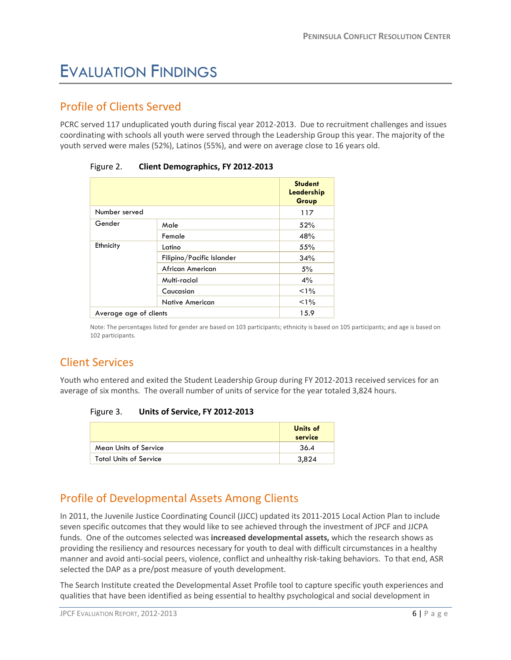# <span id="page-5-0"></span>EVALUATION FINDINGS

## <span id="page-5-1"></span>Profile of Clients Served

PCRC served 117 unduplicated youth during fiscal year 2012-2013. Due to recruitment challenges and issues coordinating with schools all youth were served through the Leadership Group this year. The majority of the youth served were males (52%), Latinos (55%), and were on average close to 16 years old.

|                        |                           | <b>Student</b><br>Leadership<br>Group |
|------------------------|---------------------------|---------------------------------------|
| Number served          |                           | 117                                   |
| Gender                 | Male                      | 52%                                   |
|                        | Female                    | 48%                                   |
| Ethnicity              | Latino                    | 55%                                   |
|                        | Filipino/Pacific Islander | 34%                                   |
|                        | African American          | 5%                                    |
|                        | Multi-racial              | 4%                                    |
|                        | Caucasian                 | <1%                                   |
|                        | <b>Native American</b>    | <1%                                   |
| Average age of clients |                           | 15.9                                  |

Figure 2. **Client Demographics, FY 2012-2013**

Note: The percentages listed for gender are based on 103 participants; ethnicity is based on 105 participants; and age is based on 102 participants.

## <span id="page-5-2"></span>Client Services

Youth who entered and exited the Student Leadership Group during FY 2012-2013 received services for an average of six months. The overall number of units of service for the year totaled 3,824 hours.

#### Figure 3. **Units of Service, FY 2012-2013**

|                               | Units of<br>service |
|-------------------------------|---------------------|
| <b>Mean Units of Service</b>  | 36.4                |
| <b>Total Units of Service</b> | 3.824               |

## <span id="page-5-3"></span>Profile of Developmental Assets Among Clients

In 2011, the Juvenile Justice Coordinating Council (JJCC) updated its 2011-2015 Local Action Plan to include seven specific outcomes that they would like to see achieved through the investment of JPCF and JJCPA funds. One of the outcomes selected was **increased developmental assets,** which the research shows as providing the resiliency and resources necessary for youth to deal with difficult circumstances in a healthy manner and avoid anti-social peers, violence, conflict and unhealthy risk-taking behaviors. To that end, ASR selected the DAP as a pre/post measure of youth development.

The Search Institute created the Developmental Asset Profile tool to capture specific youth experiences and qualities that have been identified as being essential to healthy psychological and social development in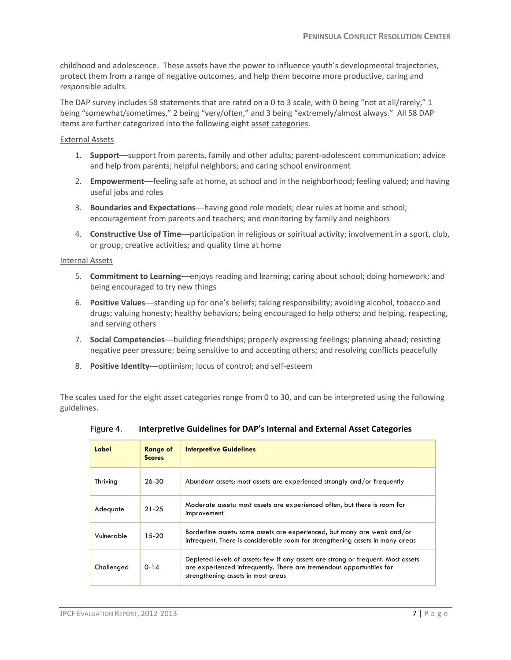childhood and adolescence. These assets have the power to influence youth's developmental trajectories, protect them from a range of negative outcomes, and help them become more productive, caring and responsible adults.

The DAP survey includes 58 statements that are rated on a 0 to 3 scale, with 0 being "not at all/rarely," 1 being "somewhat/sometimes," 2 being "very/often," and 3 being "extremely/almost always." All 58 DAP items are further categorized into the following eight asset categories.

#### External Assets

- 1. **Support**—support from parents, family and other adults; parent-adolescent communication; advice and help from parents; helpful neighbors; and caring school environment
- 2. **Empowerment**—feeling safe at home, at school and in the neighborhood; feeling valued; and having useful jobs and roles
- 3. **Boundaries and Expectations**—having good role models; clear rules at home and school; encouragement from parents and teachers; and monitoring by family and neighbors
- 4. **Constructive Use of Time**—participation in religious or spiritual activity; involvement in a sport, club, or group; creative activities; and quality time at home

#### Internal Assets

- 5. **Commitment to Learning**—enjoys reading and learning; caring about school; doing homework; and being encouraged to try new things
- 6. **Positive Values**—standing up for one's beliefs; taking responsibility; avoiding alcohol, tobacco and drugs; valuing honesty; healthy behaviors; being encouraged to help others; and helping, respecting, and serving others
- 7. **Social Competencies**—building friendships; properly expressing feelings; planning ahead; resisting negative peer pressure; being sensitive to and accepting others; and resolving conflicts peacefully
- 8. **Positive Identity**—optimism; locus of control; and self-esteem

The scales used for the eight asset categories range from 0 to 30, and can be interpreted using the following guidelines.

Figure 4. **Interpretive Guidelines for DAP's Internal and External Asset Categories**

| Label      | <b>Range of</b><br><b>Scores</b> | <b>Interpretive Guidelines</b>                                                                                                                                                                 |
|------------|----------------------------------|------------------------------------------------------------------------------------------------------------------------------------------------------------------------------------------------|
| Thriving   | 26-30                            | Abundant assets: most assets are experienced strongly and/or frequently                                                                                                                        |
| Adequate   | $21 - 25$                        | Moderate assets: most assets are experienced often, but there is room for<br>improvement                                                                                                       |
| Vulnerable | $15-20$                          | Borderline assets: some assets are experienced, but many are weak and/or<br>infrequent. There is considerable room for strengthening assets in many areas                                      |
| Challenged | $0 - 14$                         | Depleted levels of assets: few if any assets are strong or frequent. Most assets<br>are experienced infrequently. There are tremendous opportunities for<br>strengthening assets in most areas |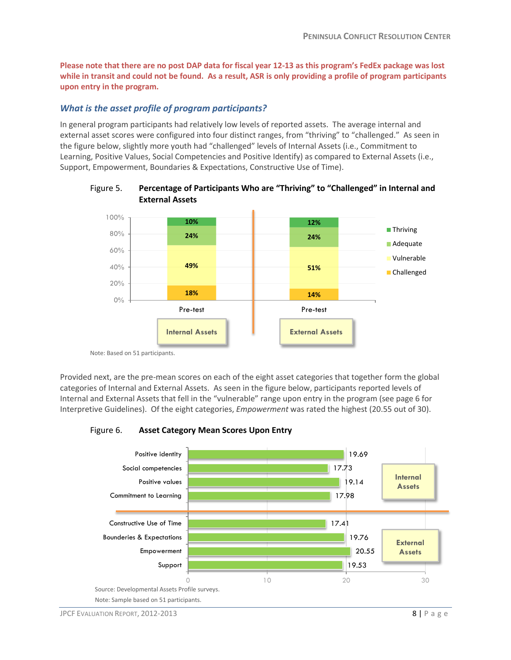**Please note that there are no post DAP data for fiscal year 12-13 as this program's FedEx package was lost while in transit and could not be found. As a result, ASR is only providing a profile of program participants upon entry in the program.** 

### *What is the asset profile of program participants?*

In general program participants had relatively low levels of reported assets. The average internal and external asset scores were configured into four distinct ranges, from "thriving" to "challenged." As seen in the figure below, slightly more youth had "challenged" levels of Internal Assets (i.e., Commitment to Learning, Positive Values, Social Competencies and Positive Identify) as compared to External Assets (i.e., Support, Empowerment, Boundaries & Expectations, Constructive Use of Time).



### Figure 5. **Percentage of Participants Who are "Thriving" to "Challenged" in Internal and External Assets**

Note: Based on 51 participants.

Provided next, are the pre-mean scores on each of the eight asset categories that together form the global categories of Internal and External Assets. As seen in the figure below, participants reported levels of Internal and External Assets that fell in the "vulnerable" range upon entry in the program (see page 6 for Interpretive Guidelines). Of the eight categories, *Empowerment* was rated the highest (20.55 out of 30).

Figure 6. **Asset Category Mean Scores Upon Entry**

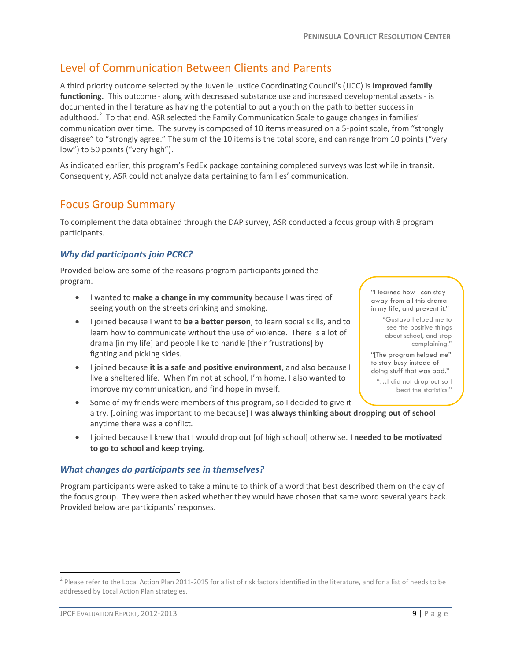## <span id="page-8-0"></span>Level of Communication Between Clients and Parents

A third priority outcome selected by the Juvenile Justice Coordinating Council's (JJCC) is **improved family functioning.** This outcome - along with decreased substance use and increased developmental assets - is documented in the literature as having the potential to put a youth on the path to better success in adulthood.<sup>2</sup> To that end, ASR selected the Family Communication Scale to gauge changes in families' communication over time. The survey is composed of 10 items measured on a 5-point scale, from "strongly disagree" to "strongly agree." The sum of the 10 items is the total score, and can range from 10 points ("very low") to 50 points ("very high").

As indicated earlier, this program's FedEx package containing completed surveys was lost while in transit. Consequently, ASR could not analyze data pertaining to families' communication.

### <span id="page-8-1"></span>Focus Group Summary

To complement the data obtained through the DAP survey, ASR conducted a focus group with 8 program participants.

### *Why did participants join PCRC?*

Provided below are some of the reasons program participants joined the program.

- I wanted to **make a change in my community** because I was tired of seeing youth on the streets drinking and smoking.
- I joined because I want to **be a better person**, to learn social skills, and to learn how to communicate without the use of violence. There is a lot of drama [in my life] and people like to handle [their frustrations] by fighting and picking sides.
- I joined because **it is a safe and positive environment**, and also because I live a sheltered life. When I'm not at school, I'm home. I also wanted to improve my communication, and find hope in myself.
- Some of my friends were members of this program, so I decided to give it a try. [Joining was important to me because] **I was always thinking about dropping out of school** anytime there was a conflict.
- I joined because I knew that I would drop out [of high school] otherwise. I **needed to be motivated to go to school and keep trying.**

### *What changes do participants see in themselves?*

Program participants were asked to take a minute to think of a word that best described them on the day of the focus group. They were then asked whether they would have chosen that same word several years back. Provided below are participants' responses.

 $\overline{a}$ 

"[The program helped me" to stay busy instead of doing stuff that was bad."

"I learned how I can stay away from all this drama in my life, and prevent it." "Gustavo helped me to see the positive things about school, and stop complaining."

"…I did not drop out so I beat the statistics!"

 $^2$  Please refer to the Local Action Plan 2011-2015 for a list of risk factors identified in the literature, and for a list of needs to be addressed by Local Action Plan strategies.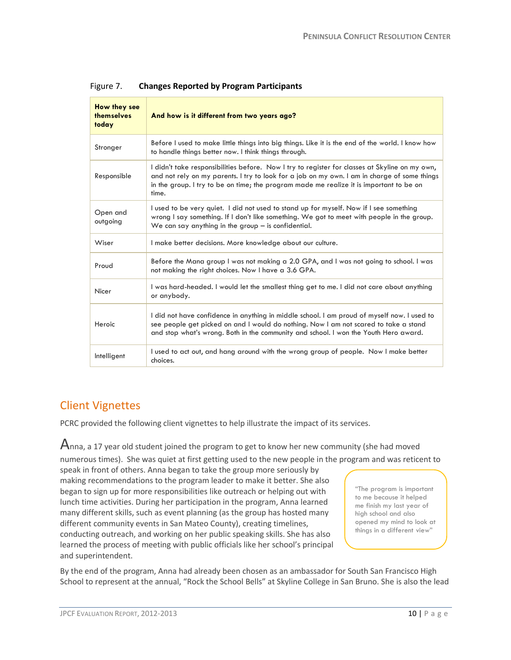| <b>How they see</b><br>themselves<br>today | And how is it different from two years ago?                                                                                                                                                                                                                                                        |  |
|--------------------------------------------|----------------------------------------------------------------------------------------------------------------------------------------------------------------------------------------------------------------------------------------------------------------------------------------------------|--|
| Stronger                                   | Before I used to make little things into big things. Like it is the end of the world. I know how<br>to handle things better now. I think things through.                                                                                                                                           |  |
| Responsible                                | I didn't take responsibilities before. Now I try to register for classes at Skyline on my own,<br>and not rely on my parents. I try to look for a job on my own. I am in charge of some things<br>in the group. I try to be on time; the program made me realize it is important to be on<br>time. |  |
| Open and<br>outgoing                       | I used to be very quiet. I did not used to stand up for myself. Now if I see something<br>wrong I say something. If I don't like something. We got to meet with people in the group.<br>We can say anything in the group $-$ is confidential.                                                      |  |
| Wiser                                      | I make better decisions. More knowledge about our culture.                                                                                                                                                                                                                                         |  |
| Proud                                      | Before the Mana group I was not making a 2.0 GPA, and I was not going to school. I was<br>not making the right choices. Now I have a 3.6 GPA.                                                                                                                                                      |  |
| Nicer                                      | I was hard-headed. I would let the smallest thing get to me. I did not care about anything<br>or anybody.                                                                                                                                                                                          |  |
| Heroic                                     | I did not have confidence in anything in middle school. I am proud of myself now. I used to<br>see people get picked on and I would do nothing. Now I am not scared to take a stand<br>and stop what's wrong. Both in the community and school. I won the Youth Hero award.                        |  |
| Intelligent                                | I used to act out, and hang around with the wrong group of people. Now I make better<br>choices.                                                                                                                                                                                                   |  |

### Figure 7. **Changes Reported by Program Participants**

## <span id="page-9-0"></span>Client Vignettes

PCRC provided the following client vignettes to help illustrate the impact of its services.

 $A$ nna, a 17 year old student joined the program to get to know her new community (she had moved numerous times). She was quiet at first getting used to the new people in the program and was reticent to speak in front of others. Anna began to take the group more seriously by making recommendations to the program leader to make it better. She also began to sign up for more responsibilities like outreach or helping out with lunch time activities. During her participation in the program, Anna learned many different skills, such as event planning (as the group has hosted many different community events in San Mateo County), creating timelines, conducting outreach, and working on her public speaking skills. She has also learned the process of meeting with public officials like her school's principal and superintendent.

"The program is important to me because it helped me finish my last year of high school and also opened my mind to look at things in a different view"

By the end of the program, Anna had already been chosen as an ambassador for South San Francisco High School to represent at the annual, "Rock the School Bells" at Skyline College in San Bruno. She is also the lead